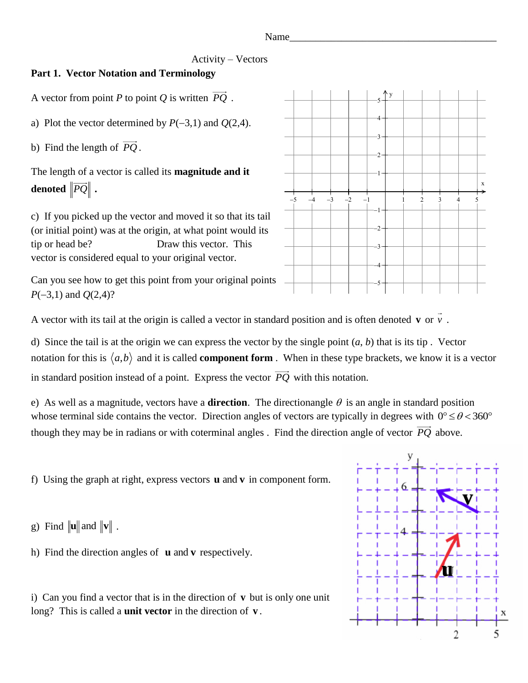#### Name\_\_\_\_\_\_\_\_\_\_\_\_\_\_\_\_\_\_\_\_\_\_\_\_\_\_\_\_\_\_\_\_\_\_\_\_\_\_\_\_

## Activity – Vectors

# **Part 1. Vector Notation and Terminology**

A vector from point *P* to point *Q* is written  $PQ$ .

a) Plot the vector determined by  $P(-3,1)$  and  $Q(2,4)$ .

b) Find the length of *PQ* .

The length of a vector is called its **magnitude and it**   $\boldsymbol{\lambda}$  denoted  $\|\boldsymbol{PQ}\|$  .

c) If you picked up the vector and moved it so that its tail (or initial point) was at the origin, at what point would its tip or head be? Draw this vector. This vector is considered equal to your original vector.

Can you see how to get this point from your original points  $P(-3,1)$  and  $Q(2,4)$ ?



A vector with its tail at the origin is called a vector in standard position and is often denoted v or v.

d) Since the tail is at the origin we can express the vector by the single point (*a*, *b*) that is its tip . Vector notation for this is  $\langle a,b \rangle$  and it is called **component form**. When in these type brackets, we know it is a vector in standard position instead of a point. Express the vector *PQ* with this notation.

e) As well as a magnitude, vectors have a **direction**. The directionangle  $\theta$  is an angle in standard position whose terminal side contains the vector. Direction angles of vectors are typically in degrees with  $0^{\circ} \le \theta < 360^{\circ}$ though they may be in radians or with coterminal angles . Find the direction angle of vector *PQ* above.

f) Using the graph at right, express vectors **u** and **v** in component form.

g) Find  $\|\mathbf{u}\|$  and  $\|\mathbf{v}\|$ .

h) Find the direction angles of  $\bf{u}$  and  $\bf{v}$  respectively.

i) Can you find a vector that is in the direction of **v** but is only one unit long? This is called a **unit vector** in the direction of **v** .

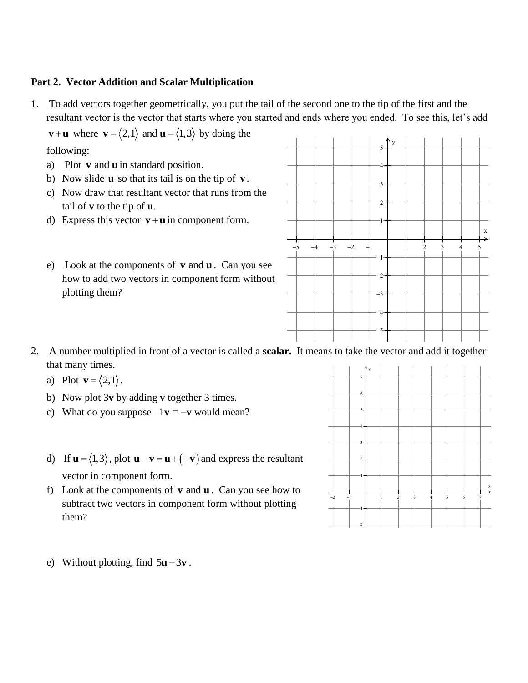## **Part 2. Vector Addition and Scalar Multiplication**

1. To add vectors together geometrically, you put the tail of the second one to the tip of the first and the resultant vector is the vector that starts where you started and ends where you ended. To see this, let's add

**v**+**u** where **v** =  $\langle 2,1 \rangle$  and **u** =  $\langle 1,3 \rangle$  by doing the

following:

- a) Plot **v** and **u** in standard position.
- b) Now slide **u** so that its tail is on the tip of **v** .
- c) Now draw that resultant vector that runs from the tail of **v** to the tip of **u**.
- d) Express this vector  $\mathbf{v} + \mathbf{u}$  in component form.
- $e)$  Look at the components of  $v$  and  $u$ . Can you see how to add two vectors in component form without plotting them?



- 2. A number multiplied in front of a vector is called a **scalar.** It means to take the vector and add it together that many times.
	- a) Plot  $\mathbf{v} = \langle 2, 1 \rangle$ .
	- b) Now plot 3**v** by adding **v** together 3 times.
	- c) What do you suppose  $-1$ **v** =  $-\mathbf{v}$  would mean?
	- d) If  $\mathbf{u} = \langle 1,3 \rangle$ , plot  $\mathbf{u} \mathbf{v} = \mathbf{u} + (-\mathbf{v})$  and express the resultant vector in component form.
	- f) Look at the components of  $v$  and  $u$ . Can you see how to subtract two vectors in component form without plotting them?



e) Without plotting, find  $5u - 3v$ .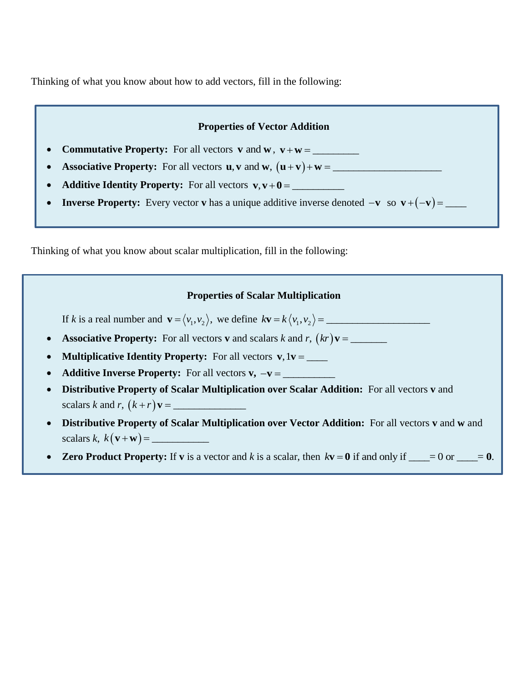Thinking of what you know about how to add vectors, fill in the following:



Thinking of what you know about scalar multiplication, fill in the following: